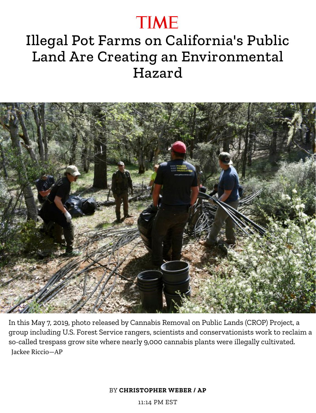## **TIME**

## Illegal Pot Farms on California's Public Land Are Creating an Environmental Hazard



In this May 7, 2019, photo released by Cannabis Removal on Public Lands (CROP) Project, a group including U.S. Forest Service rangers, scientists and conservationists work to reclaim a so-called trespass grow site where nearly 9,000 cannabis plants were illegally cultivated. Jackee Riccio—AP

BY **CHRISTOPHER WEBER / AP**

11:14 PM EST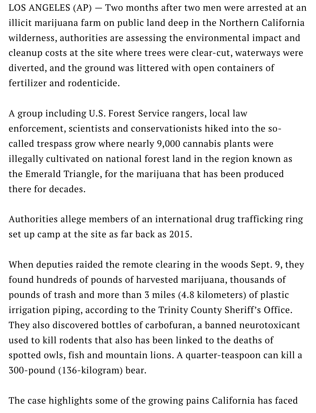LOS ANGELES (AP) — Two months after two men were arrested at an illicit marijuana farm on public land deep in the Northern California wilderness, authorities are assessing the environmental impact and cleanup costs at the site where trees were clear-cut, waterways were diverted, and the ground was littered with open containers of fertilizer and rodenticide.

A group including U.S. Forest Service rangers, local law enforcement, scientists and conservationists hiked into the socalled trespass grow where nearly 9,000 cannabis plants were illegally cultivated on national forest land in the region known as the Emerald Triangle, for the marijuana that has been produced there for decades.

Authorities allege members of an international drug trafficking ring set up camp at the site as far back as 2015.

When deputies raided the remote clearing in the woods Sept. 9, they found hundreds of pounds of harvested marijuana, thousands of pounds of trash and more than 3 miles (4.8 kilometers) of plastic irrigation piping, according to the Trinity County Sheriff's Office. They also discovered bottles of carbofuran, a banned neurotoxicant used to kill rodents that also has been linked to the deaths of spotted owls, fish and mountain lions. A quarter-teaspoon can kill a 300-pound (136-kilogram) bear.

The case highlights some of the growing pains California has faced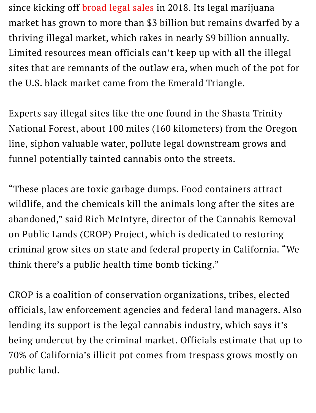since kicking off broad legal sales in 2018. Its legal marijuana market has grown to more than \$3 billion but remains dwarfed by a thriving illegal market, which rakes in nearly \$9 billion annually. Limited resources mean officials can't keep up with all the illegal sites that are remnants of the outlaw era, when much of the pot for the U.S. black market came from the Emerald Triangle.

Experts say illegal sites like the one found in the Shasta Trinity National Forest, about 100 miles (160 kilometers) from the Oregon line, siphon valuable water, pollute legal downstream grows and funnel potentially tainted cannabis onto the streets.

"These places are toxic garbage dumps. Food containers attract wildlife, and the chemicals kill the animals long after the sites are abandoned," said Rich McIntyre, director of the Cannabis Removal on Public Lands (CROP) Project, which is dedicated to restoring criminal grow sites on state and federal property in California. "We think there's a public health time bomb ticking."

CROP is a coalition of conservation organizations, tribes, elected officials, law enforcement agencies and federal land managers. Also lending its support is the legal cannabis industry, which says it's being undercut by the criminal market. Officials estimate that up to 70% of California's illicit pot comes from trespass grows mostly on public land.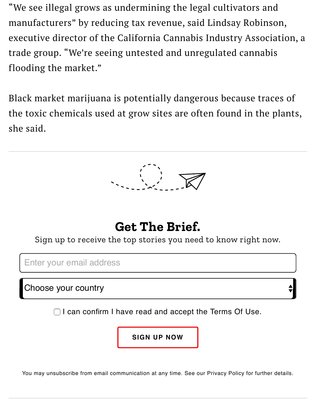"We see illegal grows as undermining the legal cultivators and manufacturers" by reducing tax revenue, said Lindsay Robinson, executive director of the California Cannabis Industry Association, a trade group. "We're seeing untested and unregulated cannabis flooding the market."

Black market marijuana is potentially dangerous because traces of the toxic chemicals used at grow sites are often found in the plants, she said.



## **Get The Brief.**

Sign up to receive the top stories you need to know right now.

Enter your email address

Choose your country

 $\Box$  I can confirm I have read and accept the Terms Of Use.

**SIGN UP NOW**

You may unsubscribe from email communication at any time. See our Privacy Policy for further details.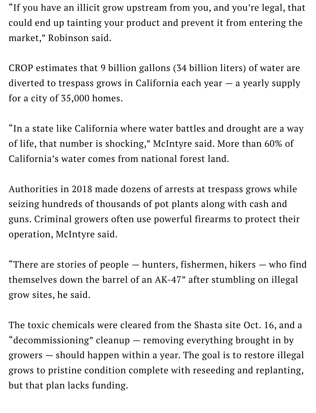"If you have an illicit grow upstream from you, and you're legal, that could end up tainting your product and prevent it from entering the market," Robinson said.

CROP estimates that 9 billion gallons (34 billion liters) of water are diverted to trespass grows in California each year — a yearly supply for a city of 35,000 homes.

"In a state like California where water battles and drought are a way of life, that number is shocking," McIntyre said. More than 60% of California's water comes from national forest land.

Authorities in 2018 made dozens of arrests at trespass grows while seizing hundreds of thousands of pot plants along with cash and guns. Criminal growers often use powerful firearms to protect their operation, McIntyre said.

"There are stories of people  $-$  hunters, fishermen, hikers  $-$  who find themselves down the barrel of an AK-47" after stumbling on illegal grow sites, he said.

The toxic chemicals were cleared from the Shasta site Oct. 16, and a "decommissioning" cleanup — removing everything brought in by growers — should happen within a year. The goal is to restore illegal grows to pristine condition complete with reseeding and replanting, but that plan lacks funding.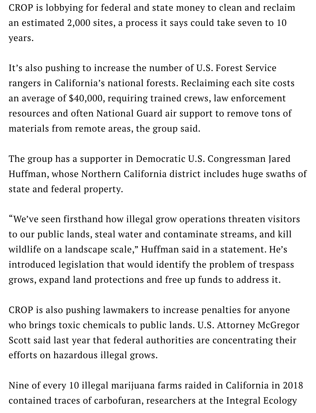CROP is lobbying for federal and state money to clean and reclaim an estimated 2,000 sites, a process it says could take seven to 10 years.

It's also pushing to increase the number of U.S. Forest Service rangers in California's national forests. Reclaiming each site costs an average of \$40,000, requiring trained crews, law enforcement resources and often National Guard air support to remove tons of materials from remote areas, the group said.

The group has a supporter in Democratic U.S. Congressman Jared Huffman, whose Northern California district includes huge swaths of state and federal property.

"We've seen firsthand how illegal grow operations threaten visitors to our public lands, steal water and contaminate streams, and kill wildlife on a landscape scale," Huffman said in a statement. He's introduced legislation that would identify the problem of trespass grows, expand land protections and free up funds to address it.

CROP is also pushing lawmakers to increase penalties for anyone who brings toxic chemicals to public lands. U.S. Attorney McGregor Scott said last year that federal authorities are concentrating their efforts on hazardous illegal grows.

Nine of every 10 illegal marijuana farms raided in California in 2018 contained traces of carbofuran, researchers at the Integral Ecology